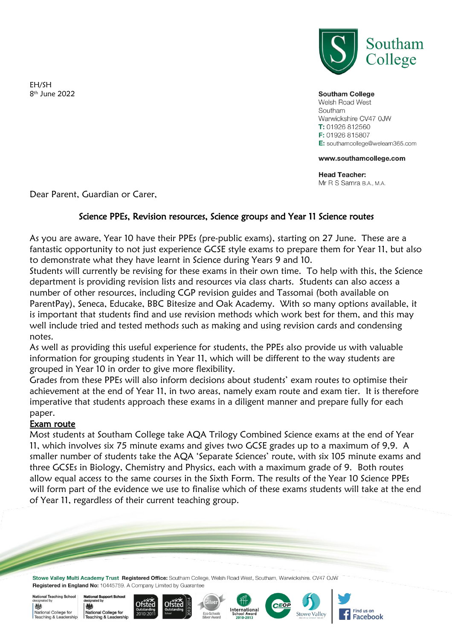EH/SH 8 th June 2022



**Southam College** 

Welsh Road West Southam Warwickshire CV47 OJW T: 01926 812560 F: 01926 815807 E: southamcollege@welearn365.com

## www.southamcollege.com

**Head Teacher:** Mr R S Samra B.A., M.A.

Dear Parent, Guardian or Carer,

## Science PPEs, Revision resources, Science groups and Year 11 Science routes

As you are aware, Year 10 have their PPEs (pre-public exams), starting on 27 June. These are a fantastic opportunity to not just experience GCSE style exams to prepare them for Year 11, but also to demonstrate what they have learnt in Science during Years 9 and 10.

Students will currently be revising for these exams in their own time. To help with this, the Science department is providing revision lists and resources via class charts. Students can also access a number of other resources, including CGP revision guides and Tassomai (both available on ParentPay), Seneca, Educake, BBC Bitesize and Oak Academy. With so many options available, it is important that students find and use revision methods which work best for them, and this may well include tried and tested methods such as making and using revision cards and condensing notes.

As well as providing this useful experience for students, the PPEs also provide us with valuable information for grouping students in Year 11, which will be different to the way students are grouped in Year 10 in order to give more flexibility.

Grades from these PPEs will also inform decisions about students' exam routes to optimise their achievement at the end of Year 11, in two areas, namely exam route and exam tier. It is therefore imperative that students approach these exams in a diligent manner and prepare fully for each paper.

## Exam route

Most students at Southam College take AQA Trilogy Combined Science exams at the end of Year 11, which involves six 75 minute exams and gives two GCSE grades up to a maximum of 9,9. A smaller number of students take the AQA 'Separate Sciences' route, with six 105 minute exams and three GCSEs in Biology, Chemistry and Physics, each with a maximum grade of 9. Both routes allow equal access to the same courses in the Sixth Form. The results of the Year 10 Science PPEs will form part of the evidence we use to finalise which of these exams students will take at the end of Year 11, regardless of their current teaching group.

Stowe Valley Multi Academy Trust Registered Office: Southam College, Welsh Road West, Southam, Warwickshire. CV47 OJW Registered in England No: 10445759. A Company Limited by Guarantee

National Teaching School 戀 National College for Teaching & Leadership









**CEO** 

Stowe Valle

Find us on

**Facebook**